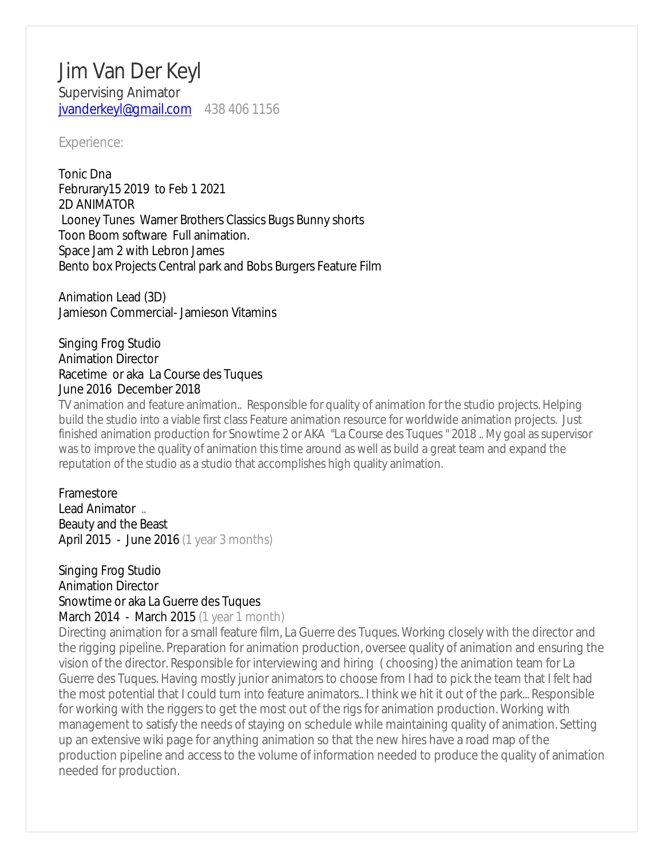# Jim Van Der Keyl Supervising Animator [jvanderkeyl@gmail.com](mailto:jvanderkeyl@gmail.com) 438 406 1156

#### Experience:

Tonic Dna Februrary15 2019 to Feb 1 2021 2D ANIMATOR Looney Tunes Warner Brothers Classics Bugs Bunny shorts Toon Boom software Full animation. Space Jam 2 with Lebron James Bento box Projects Central park and Bobs Burgers Feature Film

Animation Lead (3D) Jamieson Commercial- Jamieson Vitamins

### Singing Frog Studio Animation Director Racetime or aka La Course des Tuques June 2016 December 2018

TV animation and feature animation.. Responsible for quality of animation for the studio projects. Helping build the studio into a viable first class Feature animation resource for worldwide animation projects. Just finished animation production for Snowtime 2 or AKA "La Course des Tuques " 2018 .. My goal as supervisor was to improve the quality of animation this time around as well as build a great team and expand the reputation of the studio as a studio that accomplishes high quality animation.

### Framestore Lead Animator .. Beauty and the Beast April 2015 - June 2016 (1 year 3 months)

## Singing Frog Studio Animation Director Snowtime or aka La Guerre des Tuques

March 2014 - March 2015 (1 year 1 month)

Directing animation for a small feature film, La Guerre des Tuques. Working closely with the director and the rigging pipeline. Preparation for animation production, oversee quality of animation and ensuring the vision of the director. Responsible for interviewing and hiring ( choosing) the animation team for La Guerre des Tuques. Having mostly junior animators to choose from I had to pick the team that I felt had the most potential that I could turn into feature animators.. I think we hit it out of the park... Responsible for working with the riggers to get the most out of the rigs for animation production. Working with management to satisfy the needs of staying on schedule while maintaining quality of animation. Setting up an extensive wiki page for anything animation so that the new hires have a road map of the production pipeline and access to the volume of information needed to produce the quality of animation needed for production.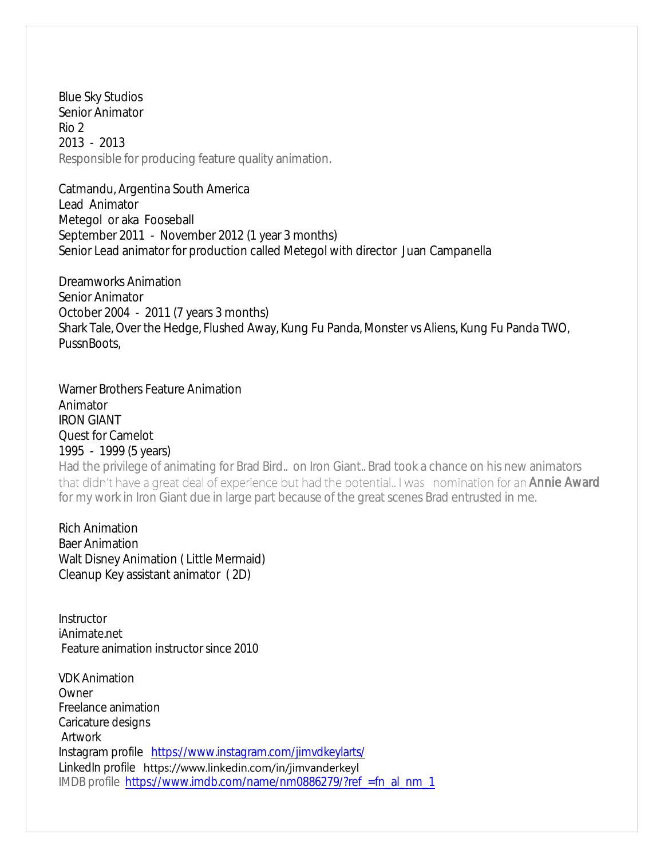Blue Sky Studios Senior Animator Rio 2 2013 - 2013 Responsible for producing feature quality animation.

Catmandu, Argentina South America Lead Animator Metegol or aka Fooseball September 2011 - November 2012 (1 year 3 months) Senior Lead animator for production called Metegol with director Juan Campanella

Dreamworks Animation Senior Animator October 2004 - 2011 (7 years 3 months) Shark Tale, Over the Hedge, Flushed Away, Kung Fu Panda, Monster vs Aliens, Kung Fu Panda TWO, PussnBoots,

Warner Brothers Feature Animation Animator IRON GIANT Quest for Camelot 1995 - 1999 (5 years) Had the privilege of animating for Brad Bird.. on Iron Giant.. Brad took a chance on his new animators that didn't have a great deal of experience but had the potential. I was nomination for an Annie Award for my work in Iron Giant due in large part because of the great scenes Brad entrusted in me.

Rich Animation Baer Animation Walt Disney Animation ( Little Mermaid) Cleanup Key assistant animator ( 2D)

Instructor iAnimate.net Feature animation instructor since 2010

VDK Animation **Owner** Freelance animation Caricature designs Artwork Instagram profile <https://www.instagram.com/jimvdkeylarts/> LinkedIn profile https://www.linkedin.com/in/jimvanderkeyl IMDB profile [https://www.imdb.com/name/nm0886279/?ref\\_=fn\\_al\\_nm\\_1](https://www.imdb.com/name/nm0886279/?ref_=fn_al_nm_1)